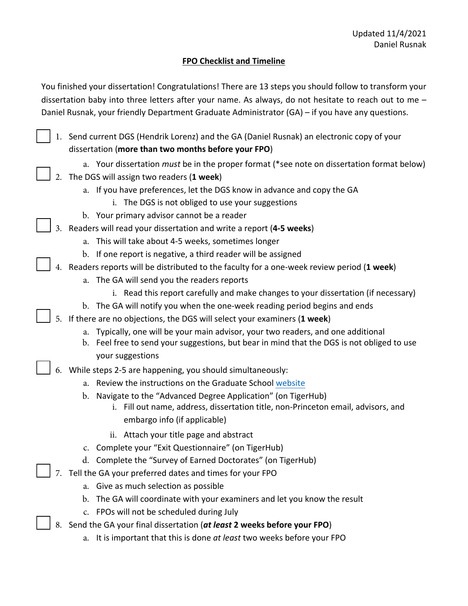## **FPO Checklist and Timeline**

You finished your dissertation! Congratulations! There are 13 steps you should follow to transform your dissertation baby into three letters after your name. As always, do not hesitate to reach out to me – Daniel Rusnak, your friendly Department Graduate Administrator (GA) – if you have any questions.

1. Send current DGS (Hendrik Lorenz) and the GA (Daniel Rusnak) an electronic copy of your dissertation (**more than two months before your FPO**)

- a. Your dissertation *must* be in the proper format (\*see note on dissertation format below)
- 2. The DGS will assign two readers (**1 week**)
	- a. If you have preferences, let the DGS know in advance and copy the GA
		- i. The DGS is not obliged to use your suggestions
	- b. Your primary advisor cannot be a reader
- 3. Readers will read your dissertation and write a report (**4-5 weeks**)
	- a. This will take about 4-5 weeks, sometimes longer
	- b. If one report is negative, a third reader will be assigned
- 4. Readers reports will be distributed to the faculty for a one-week review period (**1 week**)
	- a. The GA will send you the readers reports
		- i. Read this report carefully and make changes to your dissertation (if necessary)
	- b. The GA will notify you when the one-week reading period begins and ends
- 5. If there are no objections, the DGS will select your examiners (**1 week**)
	- a. Typically, one will be your main advisor, your two readers, and one additional
	- b. Feel free to send your suggestions, but bear in mind that the DGS is not obliged to use your suggestions
- 6. While steps 2-5 are happening, you should simultaneously:
	- a. Review the instructions on the Graduate School [website](https://gradschool.princeton.edu/academics/degree-requirements/phd-advising-and-requirements/dissertation-and-fpo)
	- b. Navigate to the "Advanced Degree Application" (on TigerHub)
		- i. Fill out name, address, dissertation title, non-Princeton email, advisors, and embargo info (if applicable)
		- ii. Attach your title page and abstract
	- c. Complete your "Exit Questionnaire" (on TigerHub)
	- d. Complete the "Survey of Earned Doctorates" (on TigerHub)
- 7. Tell the GA your preferred dates and times for your FPO
	- a. Give as much selection as possible
	- b. The GA will coordinate with your examiners and let you know the result
	- c. FPOs will not be scheduled during July
- 8. Send the GA your final dissertation (*at least* **2 weeks before your FPO**)
	- a. It is important that this is done *at least* two weeks before your FPO